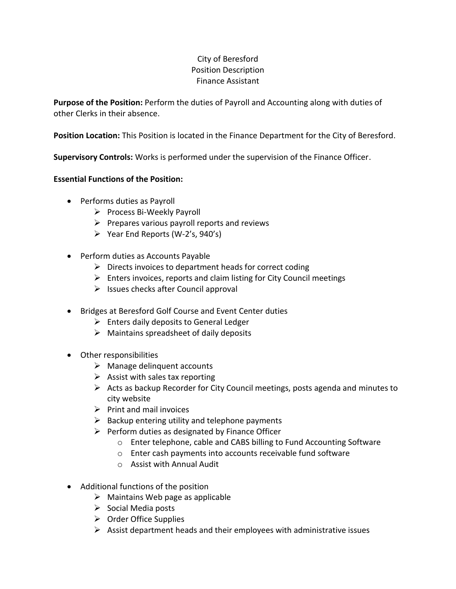## City of Beresford Position Description Finance Assistant

**Purpose of the Position:** Perform the duties of Payroll and Accounting along with duties of other Clerks in their absence.

**Position Location:** This Position is located in the Finance Department for the City of Beresford.

**Supervisory Controls:** Works is performed under the supervision of the Finance Officer.

## **Essential Functions of the Position:**

- Performs duties as Payroll
	- ➢ Process Bi-Weekly Payroll
	- $\triangleright$  Prepares various payroll reports and reviews
	- $\triangleright$  Year End Reports (W-2's, 940's)
- Perform duties as Accounts Payable
	- $\triangleright$  Directs invoices to department heads for correct coding
	- ➢ Enters invoices, reports and claim listing for City Council meetings
	- $\triangleright$  Issues checks after Council approval
- Bridges at Beresford Golf Course and Event Center duties
	- $\triangleright$  Enters daily deposits to General Ledger
	- $\triangleright$  Maintains spreadsheet of daily deposits
- Other responsibilities
	- $\triangleright$  Manage delinquent accounts
	- $\triangleright$  Assist with sales tax reporting
	- $\triangleright$  Acts as backup Recorder for City Council meetings, posts agenda and minutes to city website
	- $\triangleright$  Print and mail invoices
	- $\triangleright$  Backup entering utility and telephone payments
	- $\triangleright$  Perform duties as designated by Finance Officer
		- o Enter telephone, cable and CABS billing to Fund Accounting Software
		- o Enter cash payments into accounts receivable fund software
		- o Assist with Annual Audit
- Additional functions of the position
	- ➢ Maintains Web page as applicable
	- ➢ Social Media posts
	- ➢ Order Office Supplies
	- $\triangleright$  Assist department heads and their employees with administrative issues